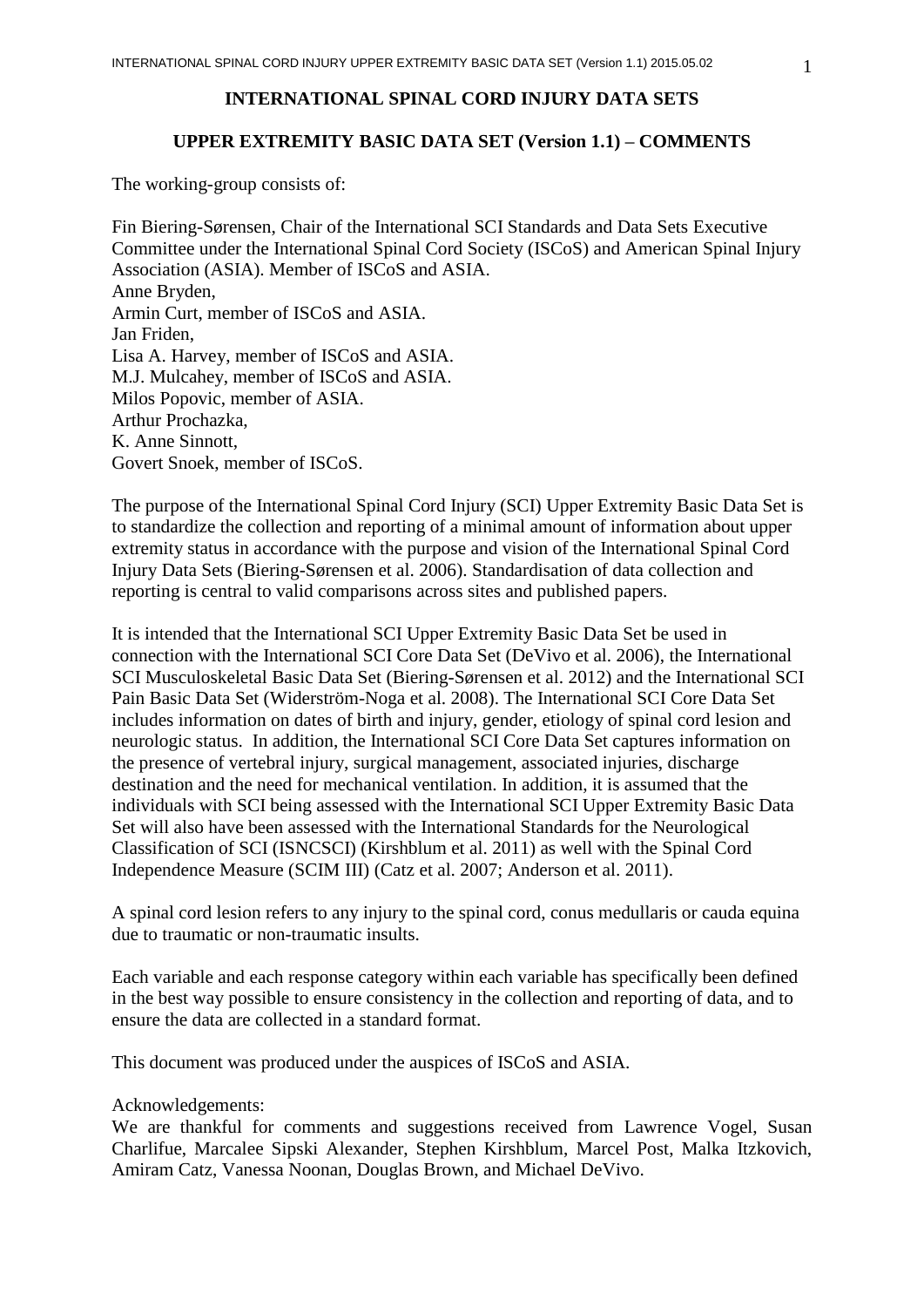# **INTERNATIONAL SPINAL CORD INJURY DATA SETS**

### **UPPER EXTREMITY BASIC DATA SET (Version 1.1) – COMMENTS**

The working-group consists of:

Fin Biering-Sørensen, Chair of the International SCI Standards and Data Sets Executive Committee under the International Spinal Cord Society (ISCoS) and American Spinal Injury Association (ASIA). Member of ISCoS and ASIA. Anne Bryden, Armin Curt, member of ISCoS and ASIA. Jan Friden, Lisa A. Harvey, member of ISCoS and ASIA. M.J. Mulcahey, member of ISCoS and ASIA. Milos Popovic, member of ASIA. Arthur Prochazka, K. Anne Sinnott, Govert Snoek, member of ISCoS.

The purpose of the International Spinal Cord Injury (SCI) Upper Extremity Basic Data Set is to standardize the collection and reporting of a minimal amount of information about upper extremity status in accordance with the purpose and vision of the International Spinal Cord Injury Data Sets (Biering-Sørensen et al. 2006). Standardisation of data collection and reporting is central to valid comparisons across sites and published papers.

It is intended that the International SCI Upper Extremity Basic Data Set be used in connection with the International SCI Core Data Set (DeVivo et al. 2006), the International SCI Musculoskeletal Basic Data Set (Biering-Sørensen et al. 2012) and the International SCI Pain Basic Data Set (Widerström-Noga et al. 2008). The International SCI Core Data Set includes information on dates of birth and injury, gender, etiology of spinal cord lesion and neurologic status. In addition, the International SCI Core Data Set captures information on the presence of vertebral injury, surgical management, associated injuries, discharge destination and the need for mechanical ventilation. In addition, it is assumed that the individuals with SCI being assessed with the International SCI Upper Extremity Basic Data Set will also have been assessed with the International Standards for the Neurological Classification of SCI (ISNCSCI) (Kirshblum et al. 2011) as well with the Spinal Cord Independence Measure (SCIM III) (Catz et al. 2007; Anderson et al. 2011).

A spinal cord lesion refers to any injury to the spinal cord, conus medullaris or cauda equina due to traumatic or non-traumatic insults.

Each variable and each response category within each variable has specifically been defined in the best way possible to ensure consistency in the collection and reporting of data, and to ensure the data are collected in a standard format.

This document was produced under the auspices of ISCoS and ASIA.

Acknowledgements:

We are thankful for comments and suggestions received from Lawrence Vogel, Susan Charlifue, Marcalee Sipski Alexander, Stephen Kirshblum, Marcel Post, Malka Itzkovich, Amiram Catz, Vanessa Noonan, Douglas Brown, and Michael DeVivo.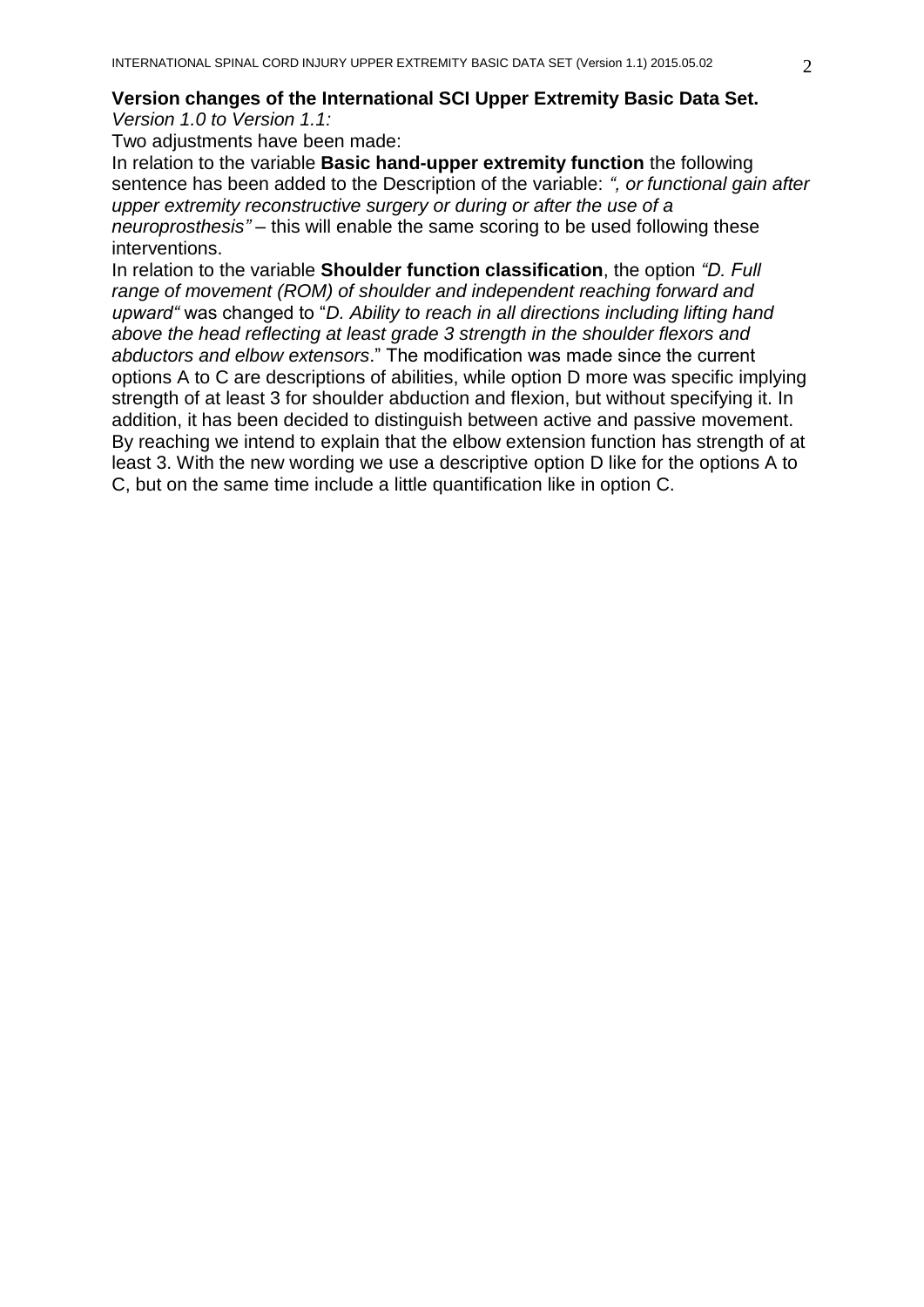*Version 1.0 to Version 1.1:*

Two adjustments have been made:

In relation to the variable **Basic hand-upper extremity function** the following sentence has been added to the Description of the variable: *", or functional gain after upper extremity reconstructive surgery or during or after the use of a neuroprosthesis" –* this will enable the same scoring to be used following these interventions.

In relation to the variable **Shoulder function classification**, the option *"D. Full range of movement (ROM) of shoulder and independent reaching forward and upward"* was changed to "*D. Ability to reach in all directions including lifting hand above the head reflecting at least grade 3 strength in the shoulder flexors and abductors and elbow extensors*." The modification was made since the current options A to C are descriptions of abilities, while option D more was specific implying strength of at least 3 for shoulder abduction and flexion, but without specifying it. In addition, it has been decided to distinguish between active and passive movement. By reaching we intend to explain that the elbow extension function has strength of at least 3. With the new wording we use a descriptive option D like for the options A to C, but on the same time include a little quantification like in option C.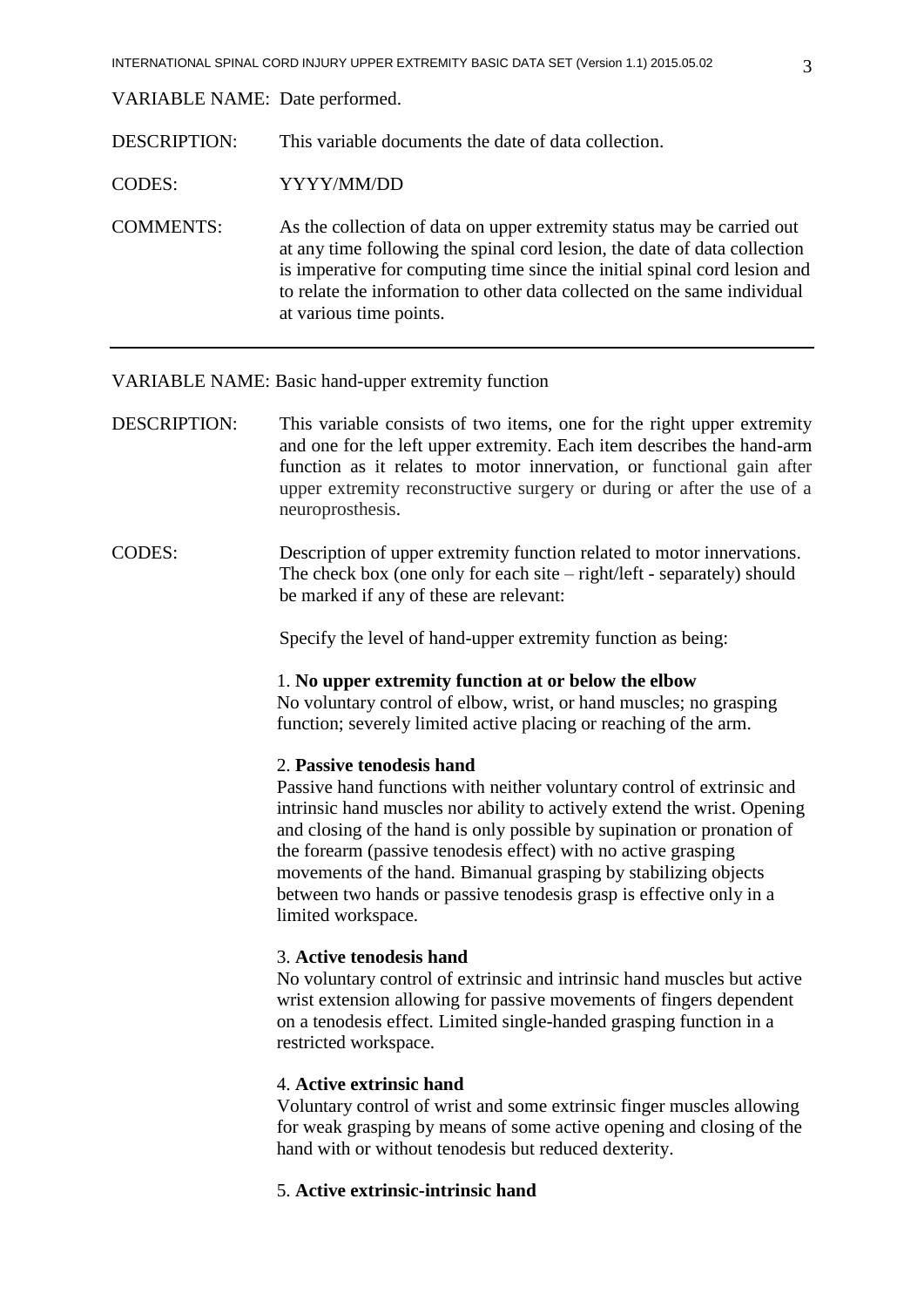VARIABLE NAME: Date performed.

DESCRIPTION: This variable documents the date of data collection.

CODES: YYYY/MM/DD

COMMENTS: As the collection of data on upper extremity status may be carried out at any time following the spinal cord lesion, the date of data collection is imperative for computing time since the initial spinal cord lesion and to relate the information to other data collected on the same individual at various time points.

### VARIABLE NAME: Basic hand-upper extremity function

- DESCRIPTION: This variable consists of two items, one for the right upper extremity and one for the left upper extremity. Each item describes the hand-arm function as it relates to motor innervation, or functional gain after upper extremity reconstructive surgery or during or after the use of a neuroprosthesis.
- CODES: Description of upper extremity function related to motor innervations. The check box (one only for each site – right/left - separately) should be marked if any of these are relevant:

Specify the level of hand-upper extremity function as being:

### 1. **No upper extremity function at or below the elbow**

No voluntary control of elbow, wrist, or hand muscles; no grasping function; severely limited active placing or reaching of the arm.

### 2. **Passive tenodesis hand**

Passive hand functions with neither voluntary control of extrinsic and intrinsic hand muscles nor ability to actively extend the wrist. Opening and closing of the hand is only possible by supination or pronation of the forearm (passive tenodesis effect) with no active grasping movements of the hand. Bimanual grasping by stabilizing objects between two hands or passive tenodesis grasp is effective only in a limited workspace.

### 3. **Active tenodesis hand**

No voluntary control of extrinsic and intrinsic hand muscles but active wrist extension allowing for passive movements of fingers dependent on a tenodesis effect. Limited single-handed grasping function in a restricted workspace.

### 4. **Active extrinsic hand**

Voluntary control of wrist and some extrinsic finger muscles allowing for weak grasping by means of some active opening and closing of the hand with or without tenodesis but reduced dexterity.

### 5. **Active extrinsic-intrinsic hand**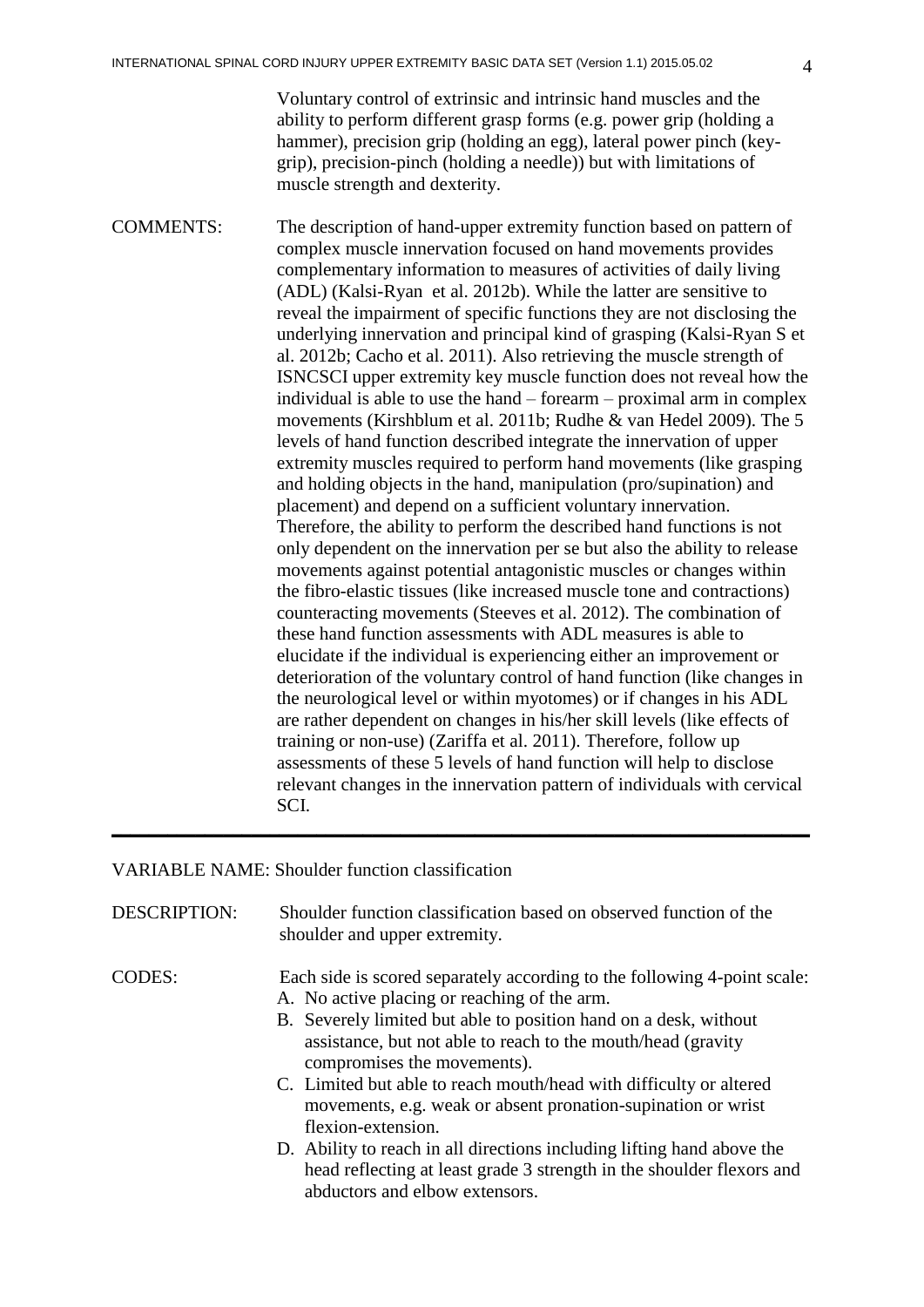Voluntary control of extrinsic and intrinsic hand muscles and the ability to perform different grasp forms (e.g. power grip (holding a hammer), precision grip (holding an egg), lateral power pinch (keygrip), precision-pinch (holding a needle)) but with limitations of muscle strength and dexterity.

COMMENTS: The description of hand-upper extremity function based on pattern of complex muscle innervation focused on hand movements provides complementary information to measures of activities of daily living (ADL) (Kalsi-Ryan et al. 2012b). While the latter are sensitive to reveal the impairment of specific functions they are not disclosing the underlying innervation and principal kind of grasping (Kalsi-Ryan S et al. 2012b; Cacho et al. 2011). Also retrieving the muscle strength of ISNCSCI upper extremity key muscle function does not reveal how the individual is able to use the hand – forearm – proximal arm in complex movements (Kirshblum et al. 2011b; Rudhe & van Hedel 2009). The 5 levels of hand function described integrate the innervation of upper extremity muscles required to perform hand movements (like grasping and holding objects in the hand, manipulation (pro/supination) and placement) and depend on a sufficient voluntary innervation. Therefore, the ability to perform the described hand functions is not only dependent on the innervation per se but also the ability to release movements against potential antagonistic muscles or changes within the fibro-elastic tissues (like increased muscle tone and contractions) counteracting movements (Steeves et al. 2012). The combination of these hand function assessments with ADL measures is able to elucidate if the individual is experiencing either an improvement or deterioration of the voluntary control of hand function (like changes in the neurological level or within myotomes) or if changes in his ADL are rather dependent on changes in his/her skill levels (like effects of training or non-use) (Zariffa et al. 2011). Therefore, follow up assessments of these 5 levels of hand function will help to disclose relevant changes in the innervation pattern of individuals with cervical SCI. **\_\_\_\_\_\_\_\_\_\_\_\_\_\_\_\_\_\_\_\_\_\_\_\_\_\_\_\_\_\_\_\_\_\_\_\_\_\_\_\_\_\_\_\_\_\_\_\_\_\_\_\_\_\_\_\_\_\_\_\_\_\_\_\_\_\_\_\_\_\_\_\_\_\_\_**

### VARIABLE NAME: Shoulder function classification

| <b>DESCRIPTION:</b> | Shoulder function classification based on observed function of the |
|---------------------|--------------------------------------------------------------------|
|                     | shoulder and upper extremity.                                      |

- CODES: Each side is scored separately according to the following 4-point scale: A. No active placing or reaching of the arm.
	- B. Severely limited but able to position hand on a desk, without assistance, but not able to reach to the mouth/head (gravity compromises the movements).
	- C. Limited but able to reach mouth/head with difficulty or altered movements, e.g. weak or absent pronation-supination or wrist flexion-extension.
	- D. Ability to reach in all directions including lifting hand above the head reflecting at least grade 3 strength in the shoulder flexors and abductors and elbow extensors.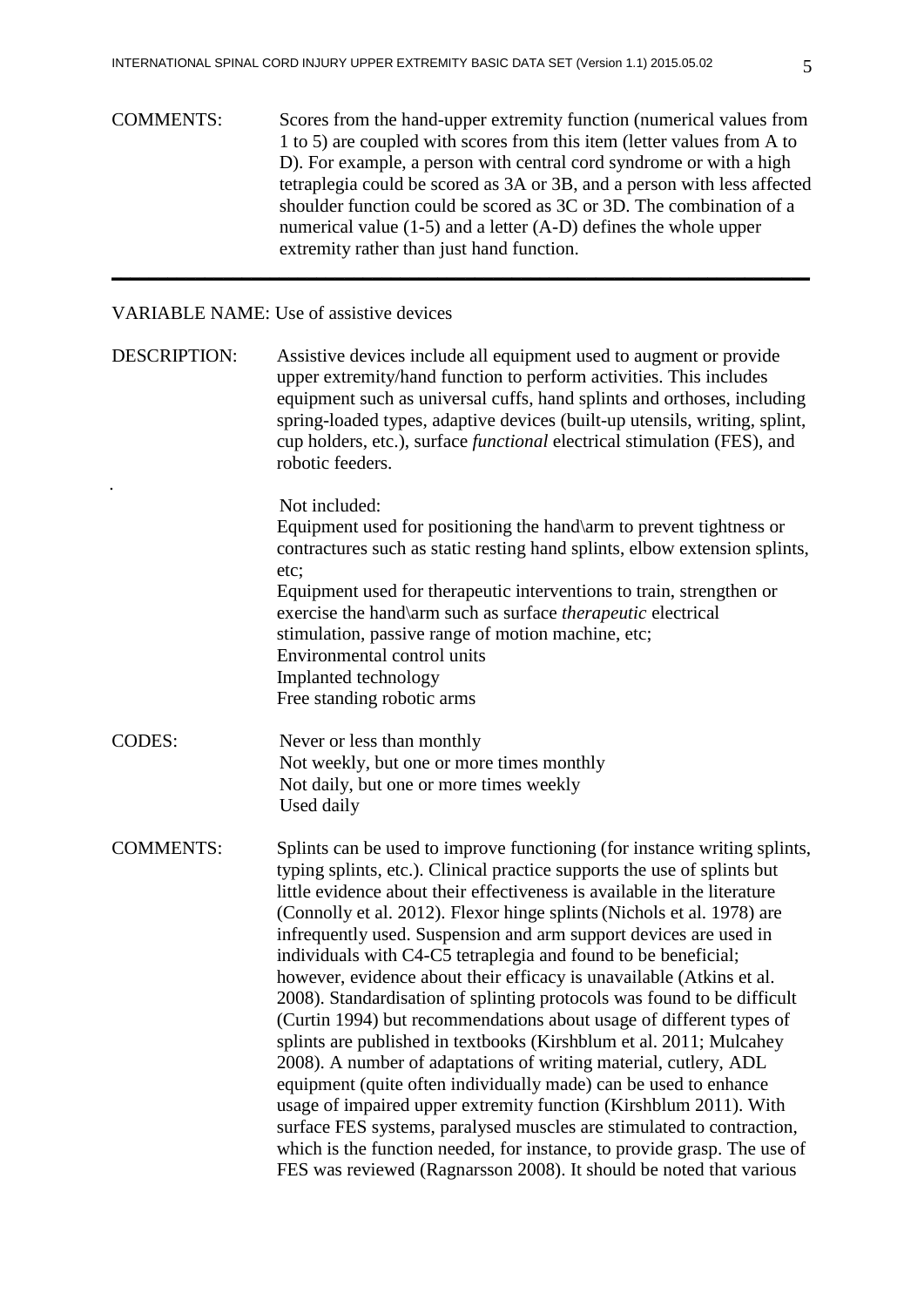COMMENTS: Scores from the hand-upper extremity function (numerical values from 1 to 5) are coupled with scores from this item (letter values from A to D). For example, a person with central cord syndrome or with a high tetraplegia could be scored as 3A or 3B, and a person with less affected shoulder function could be scored as 3C or 3D. The combination of a numerical value (1-5) and a letter (A-D) defines the whole upper extremity rather than just hand function.

**\_\_\_\_\_\_\_\_\_\_\_\_\_\_\_\_\_\_\_\_\_\_\_\_\_\_\_\_\_\_\_\_\_\_\_\_\_\_\_\_\_\_\_\_\_\_\_\_\_\_\_\_\_\_\_\_\_\_\_\_\_\_\_\_\_\_\_\_\_\_\_\_\_\_\_**

### VARIABLE NAME: Use of assistive devices

.

DESCRIPTION: Assistive devices include all equipment used to augment or provide upper extremity/hand function to perform activities. This includes equipment such as universal cuffs, hand splints and orthoses, including spring-loaded types, adaptive devices (built-up utensils, writing, splint, cup holders, etc.), surface *functional* electrical stimulation (FES), and robotic feeders.

> Not included: Equipment used for positioning the hand\arm to prevent tightness or contractures such as static resting hand splints, elbow extension splints, etc; Equipment used for therapeutic interventions to train, strengthen or exercise the hand\arm such as surface *therapeutic* electrical stimulation, passive range of motion machine, etc; Environmental control units Implanted technology Free standing robotic arms

CODES: Never or less than monthly Not weekly, but one or more times monthly Not daily, but one or more times weekly Used daily

COMMENTS: Splints can be used to improve functioning (for instance writing splints, typing splints, etc.). Clinical practice supports the use of splints but little evidence about their effectiveness is available in the literature (Connolly et al. 2012). Flexor hinge splints(Nichols et al. 1978) are infrequently used. Suspension and arm support devices are used in individuals with C4-C5 tetraplegia and found to be beneficial; however, evidence about their efficacy is unavailable (Atkins et al. 2008). Standardisation of splinting protocols was found to be difficult (Curtin 1994) but recommendations about usage of different types of splints are published in textbooks (Kirshblum et al. 2011; Mulcahey 2008). A number of adaptations of writing material, cutlery, ADL equipment (quite often individually made) can be used to enhance usage of impaired upper extremity function (Kirshblum 2011). With surface FES systems, paralysed muscles are stimulated to contraction, which is the function needed, for instance, to provide grasp. The use of FES was reviewed (Ragnarsson 2008). It should be noted that various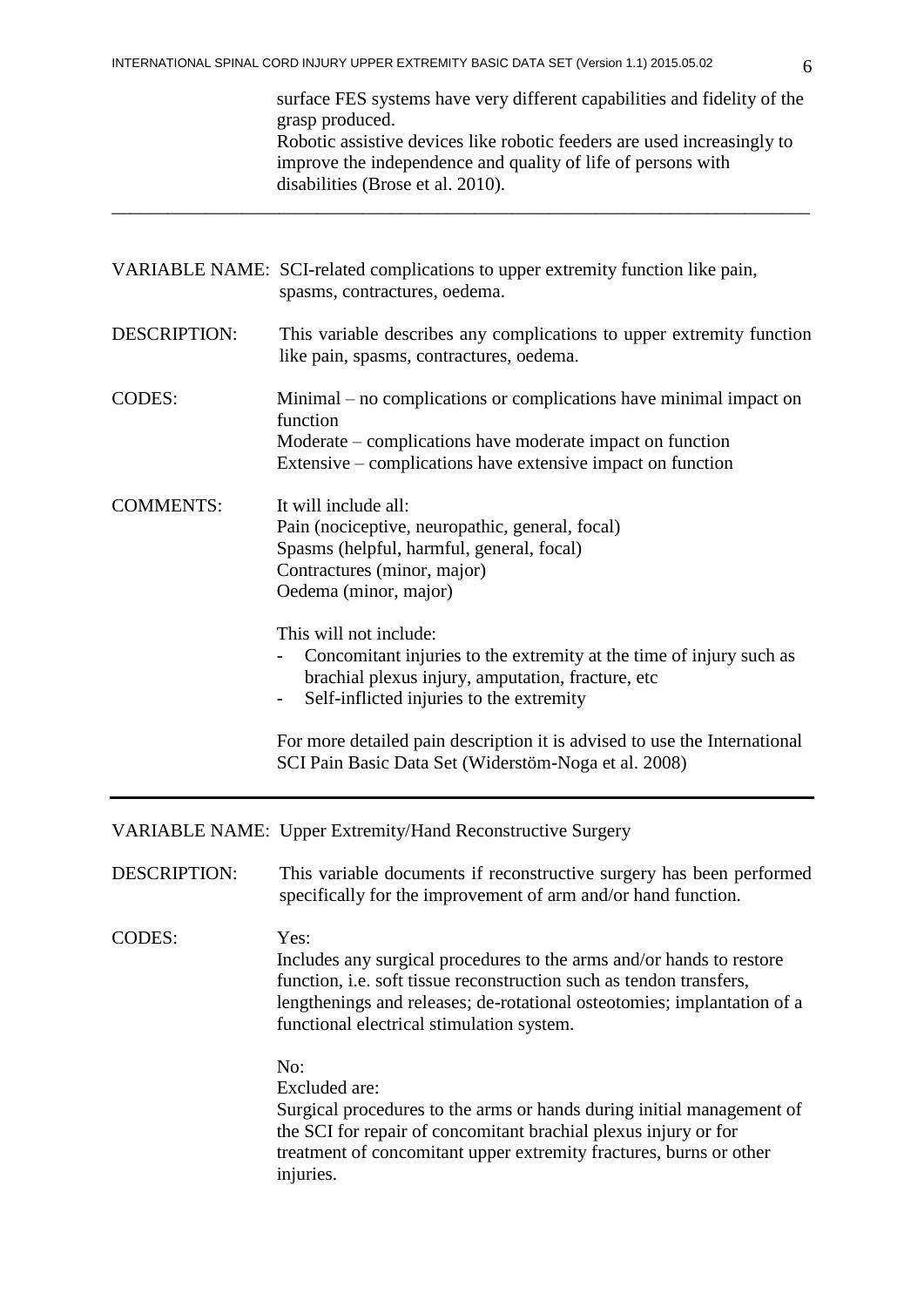\_\_\_\_\_\_\_\_\_\_\_\_\_\_\_\_\_\_\_\_\_\_\_\_\_\_\_\_\_\_\_\_\_\_\_\_\_\_\_\_\_\_\_\_\_\_\_\_\_\_\_\_\_\_\_\_\_\_\_\_\_\_\_\_\_\_\_\_\_\_\_\_\_\_\_

surface FES systems have very different capabilities and fidelity of the grasp produced. Robotic assistive devices like robotic feeders are used increasingly to improve the independence and quality of life of persons with disabilities (Brose et al. 2010).

|                     | VARIABLE NAME: SCI-related complications to upper extremity function like pain,<br>spasms, contractures, oedema.                                                                                                                                                            |  |  |  |
|---------------------|-----------------------------------------------------------------------------------------------------------------------------------------------------------------------------------------------------------------------------------------------------------------------------|--|--|--|
| <b>DESCRIPTION:</b> | This variable describes any complications to upper extremity function<br>like pain, spasms, contractures, oedema.                                                                                                                                                           |  |  |  |
| <b>CODES:</b>       | Minimal – no complications or complications have minimal impact on<br>function<br>Moderate – complications have moderate impact on function<br>Extensive – complications have extensive impact on function                                                                  |  |  |  |
| <b>COMMENTS:</b>    | It will include all:<br>Pain (nociceptive, neuropathic, general, focal)<br>Spasms (helpful, harmful, general, focal)<br>Contractures (minor, major)<br>Oedema (minor, major)                                                                                                |  |  |  |
|                     | This will not include:<br>Concomitant injuries to the extremity at the time of injury such as<br>brachial plexus injury, amputation, fracture, etc<br>Self-inflicted injuries to the extremity<br>$\overline{\phantom{a}}$                                                  |  |  |  |
|                     | For more detailed pain description it is advised to use the International<br>SCI Pain Basic Data Set (Widerstöm-Noga et al. 2008)                                                                                                                                           |  |  |  |
|                     | <b>VARIABLE NAME: Upper Extremity/Hand Reconstructive Surgery</b>                                                                                                                                                                                                           |  |  |  |
| <b>DESCRIPTION:</b> | This variable documents if reconstructive surgery has been performed<br>specifically for the improvement of arm and/or hand function.                                                                                                                                       |  |  |  |
| <b>CODES:</b>       | Yes:<br>Includes any surgical procedures to the arms and/or hands to restore<br>function, i.e. soft tissue reconstruction such as tendon transfers,<br>lengthenings and releases; de-rotational osteotomies; implantation of a<br>functional electrical stimulation system. |  |  |  |
|                     | No:<br>Excluded are:<br>Surgical procedures to the arms or hands during initial management of<br>the SCI for repair of concomitant brachial plexus injury or for<br>treatment of concomitant upper extremity fractures, burns or other<br>injuries.                         |  |  |  |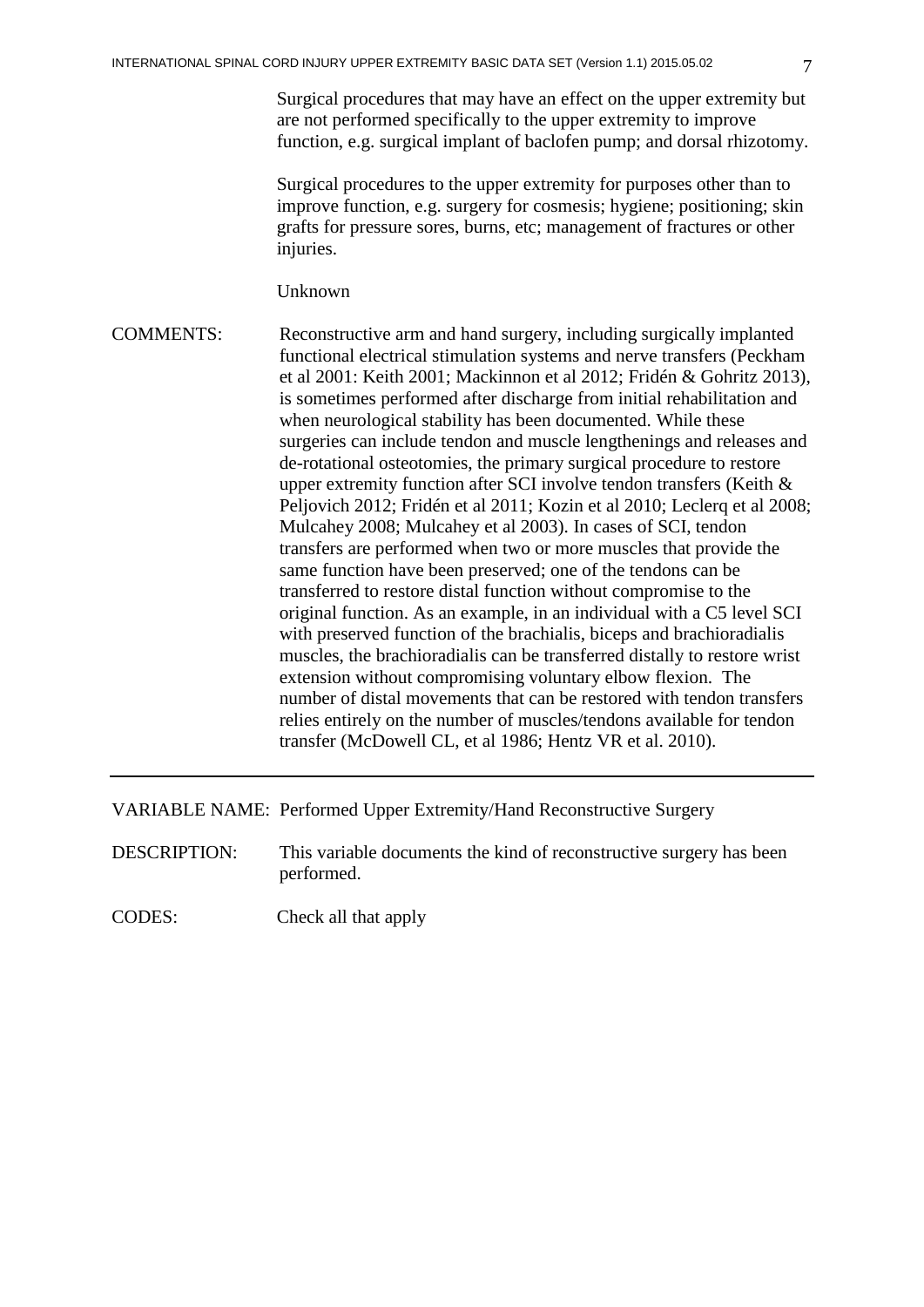Surgical procedures that may have an effect on the upper extremity but are not performed specifically to the upper extremity to improve function, e.g. surgical implant of baclofen pump; and dorsal rhizotomy.

Surgical procedures to the upper extremity for purposes other than to improve function, e.g. surgery for cosmesis; hygiene; positioning; skin grafts for pressure sores, burns, etc; management of fractures or other injuries.

Unknown

COMMENTS: Reconstructive arm and hand surgery, including surgically implanted functional electrical stimulation systems and nerve transfers (Peckham et al 2001: Keith 2001; Mackinnon et al 2012; [Fridén &](http://www.ncbi.nlm.nih.gov/pubmed?term=Frid%C3%A9n%20J%5BAuthor%5D&cauthor=true&cauthor_uid=23350779) [Gohritz](http://www.ncbi.nlm.nih.gov/pubmed?term=Gohritz%20A%5BAuthor%5D&cauthor=true&cauthor_uid=23350779) 2013), is sometimes performed after discharge from initial rehabilitation and when neurological stability has been documented. While these surgeries can include tendon and muscle lengthenings and releases and de-rotational osteotomies, the primary surgical procedure to restore upper extremity function after SCI involve tendon transfers (Keith & Peljovich 2012; Fridén et al 2011; Kozin et al 2010; Leclerq et al 2008; Mulcahey 2008; Mulcahey et al 2003). In cases of SCI, tendon transfers are performed when two or more muscles that provide the same function have been preserved; one of the tendons can be transferred to restore distal function without compromise to the original function. As an example, in an individual with a C5 level SCI with preserved function of the brachialis, biceps and brachioradialis muscles, the brachioradialis can be transferred distally to restore wrist extension without compromising voluntary elbow flexion. The number of distal movements that can be restored with tendon transfers relies entirely on the number of muscles/tendons available for tendon transfer (McDowell CL, et al 1986; Hentz VR et al. 2010).

VARIABLE NAME: Performed Upper Extremity/Hand Reconstructive Surgery

DESCRIPTION: This variable documents the kind of reconstructive surgery has been performed.

CODES: Check all that apply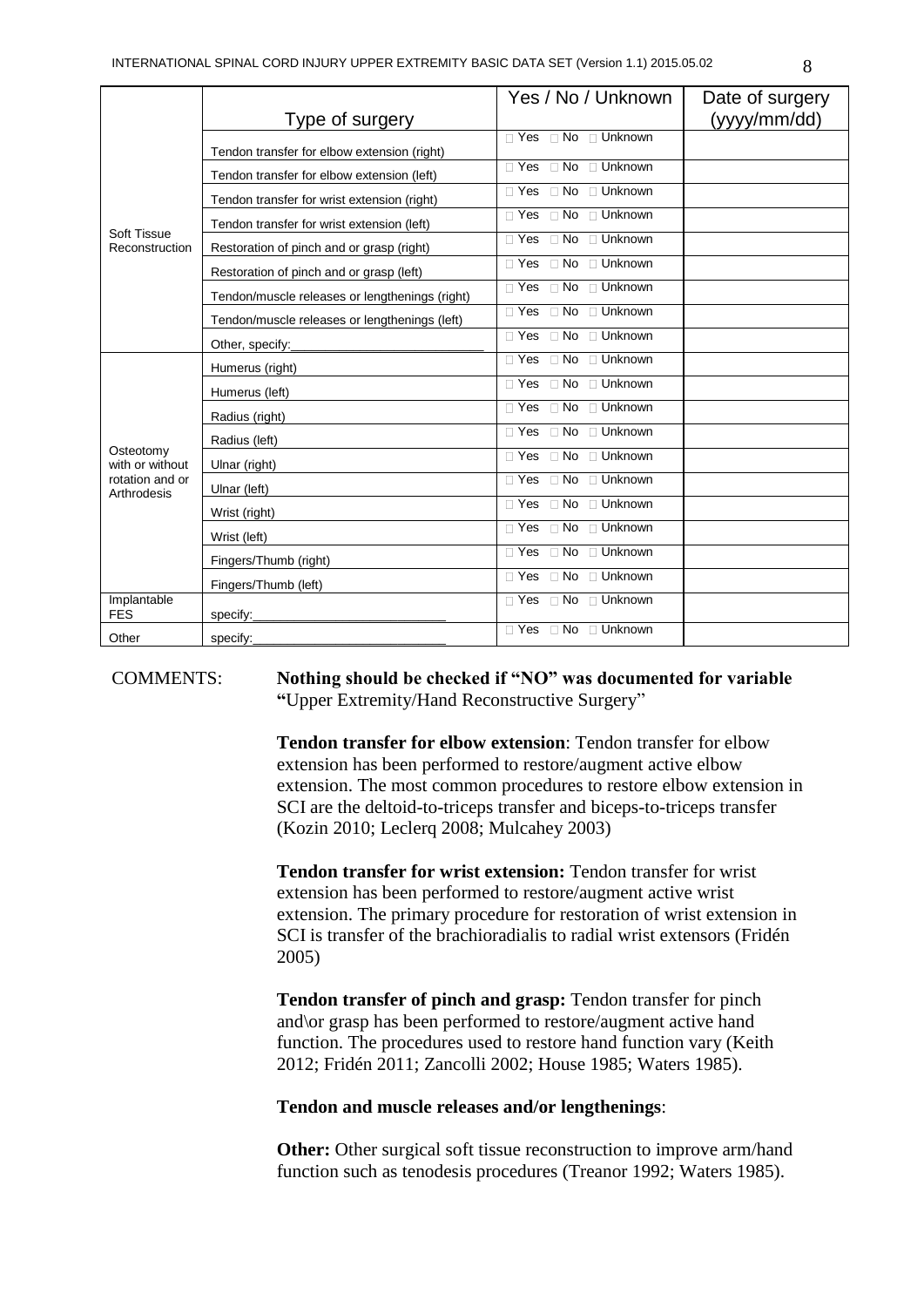|                                                                |                                                | Yes / No / Unknown                                           | Date of surgery |
|----------------------------------------------------------------|------------------------------------------------|--------------------------------------------------------------|-----------------|
|                                                                | Type of surgery                                |                                                              | (yyy/mm/dd)     |
| Soft Tissue<br>Reconstruction                                  | Tendon transfer for elbow extension (right)    | $\Box$ Yes $\Box$ No $\Box$ Unknown                          |                 |
|                                                                | Tendon transfer for elbow extension (left)     | $\sqcap$ Yes<br>$\Box$ No $\Box$ Unknown                     |                 |
|                                                                | Tendon transfer for wrist extension (right)    | □ Unknown<br>$\Box$ Yes<br>$\Box$ No                         |                 |
|                                                                | Tendon transfer for wrist extension (left)     | □ Unknown<br>$\Box$ Yes<br>$\Box$ No                         |                 |
|                                                                | Restoration of pinch and or grasp (right)      | $\sqcap$ Yes<br>$\Box$ Unknown<br>$\Box$ No                  |                 |
|                                                                | Restoration of pinch and or grasp (left)       | $\overline{\Box}$ Yes<br>□ Unknown<br>$\Box$ No              |                 |
|                                                                | Tendon/muscle releases or lengthenings (right) | $\sqcap$ Yes<br>□ Unknown<br>$\Box$ No                       |                 |
|                                                                | Tendon/muscle releases or lengthenings (left)  | $\Box$ Unknown<br>$\sqcap$ Yes<br>$\Box$ No                  |                 |
|                                                                | Other, specify:                                | $\Box$ Yes<br>$\Box$ No<br>□ Unknown                         |                 |
|                                                                | Humerus (right)                                | $\sqcap$ Yes<br>$\overline{\Box}$ Unknown<br>$\Box$ No       |                 |
|                                                                | Humerus (left)                                 | $\sqcap$ Yes<br>$\Box$ No<br>□ Unknown                       |                 |
|                                                                | Radius (right)                                 | $\overline{\Box}$ Yes<br>$\Box$ No<br>□ Unknown              |                 |
| Osteotomy<br>with or without<br>rotation and or<br>Arthrodesis | Radius (left)                                  | $\Box$ No<br>$\Box$ Unknown<br>$\sqcap$ Yes                  |                 |
|                                                                | Ulnar (right)                                  | $\Box$ Yes<br>□ Unknown<br>$\Box$ No                         |                 |
|                                                                | Ulnar (left)                                   | $\overline{\Box}$ Yes<br>$\Box$ No<br>□ Unknown              |                 |
|                                                                | Wrist (right)                                  | $\sqcap$ Yes<br>$\Box$ Unknown<br>$\Box$ No                  |                 |
|                                                                | Wrist (left)                                   | $\overline{\Box \text{ Yes}}$<br>$\Box$ Unknown<br>$\Box$ No |                 |
|                                                                | Fingers/Thumb (right)                          | $\sqcap$ Yes<br>$\Box$ No<br>$\Box$ Unknown                  |                 |
|                                                                | Fingers/Thumb (left)                           | $\Box$ No $\Box$ Unknown<br>$\sqcap$ Yes                     |                 |
| Implantable<br><b>FES</b>                                      | specify:                                       | $\Box$ Yes<br>□ Unknown<br>$\Box$ No                         |                 |
| Other                                                          | specify:                                       | □ Yes □ No □ Unknown                                         |                 |

COMMENTS: **Nothing should be checked if "NO" was documented for variable "**Upper Extremity/Hand Reconstructive Surgery"

> **Tendon transfer for elbow extension**: Tendon transfer for elbow extension has been performed to restore/augment active elbow extension. The most common procedures to restore elbow extension in SCI are the deltoid-to-triceps transfer and biceps-to-triceps transfer (Kozin 2010; Leclerq 2008; Mulcahey 2003)

**Tendon transfer for wrist extension:** Tendon transfer for wrist extension has been performed to restore/augment active wrist extension. The primary procedure for restoration of wrist extension in SCI is transfer of the brachioradialis to radial wrist extensors (Fridén 2005)

**Tendon transfer of pinch and grasp:** Tendon transfer for pinch and\or grasp has been performed to restore/augment active hand function. The procedures used to restore hand function vary (Keith 2012; Fridén 2011; Zancolli 2002; House 1985; Waters 1985).

### **Tendon and muscle releases and/or lengthenings**:

**Other:** Other surgical soft tissue reconstruction to improve arm/hand function such as tenodesis procedures (Treanor 1992; Waters 1985).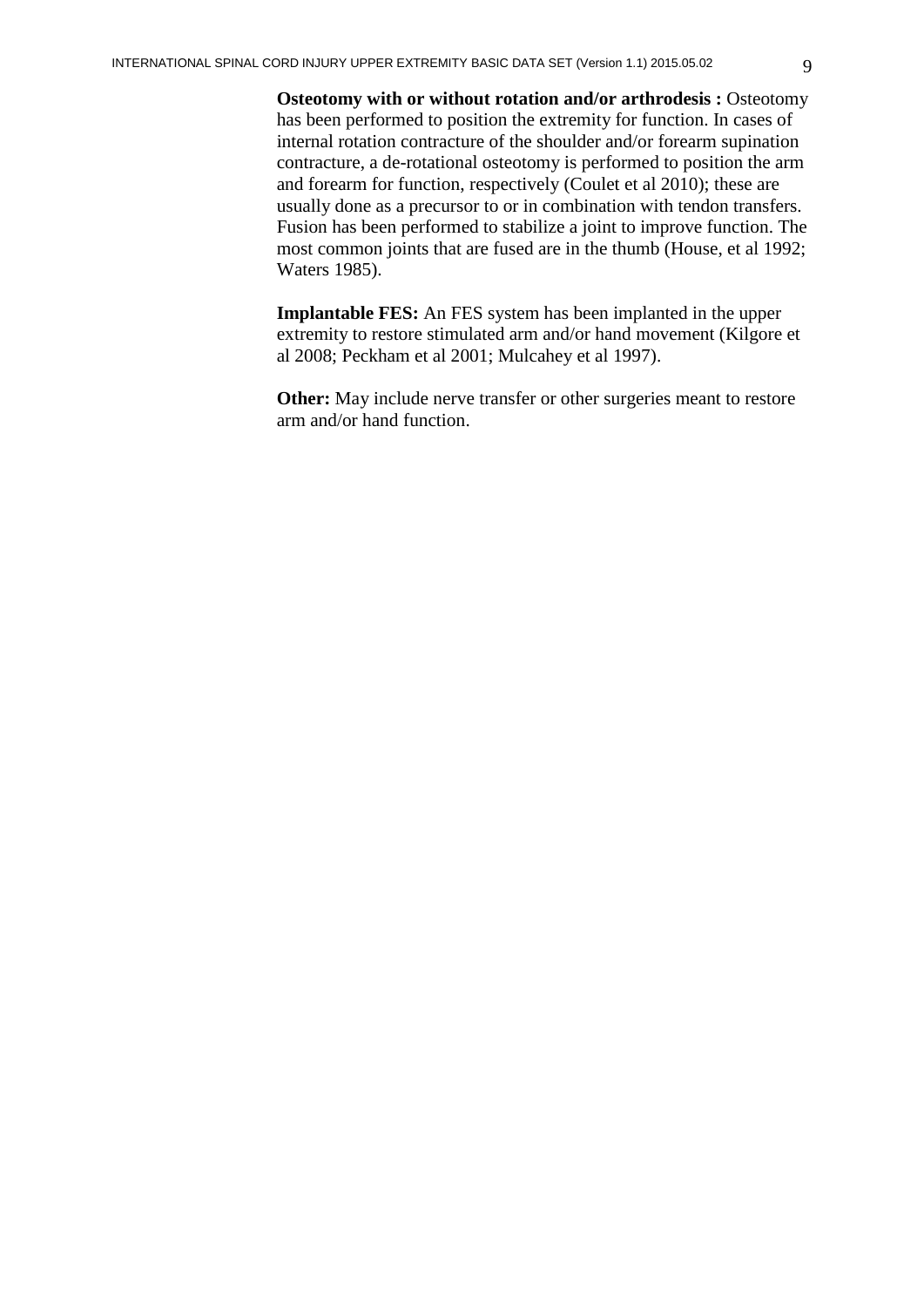**Osteotomy with or without rotation and/or arthrodesis : Osteotomy** has been performed to position the extremity for function. In cases of internal rotation contracture of the shoulder and/or forearm supination contracture, a de-rotational osteotomy is performed to position the arm and forearm for function, respectively (Coulet et al 2010); these are usually done as a precursor to or in combination with tendon transfers. Fusion has been performed to stabilize a joint to improve function. The most common joints that are fused are in the thumb (House, et al 1992; Waters 1985).

**Implantable FES:** An FES system has been implanted in the upper extremity to restore stimulated arm and/or hand movement (Kilgore et al 2008; Peckham et al 2001; Mulcahey et al 1997).

**Other:** May include nerve transfer or other surgeries meant to restore arm and/or hand function.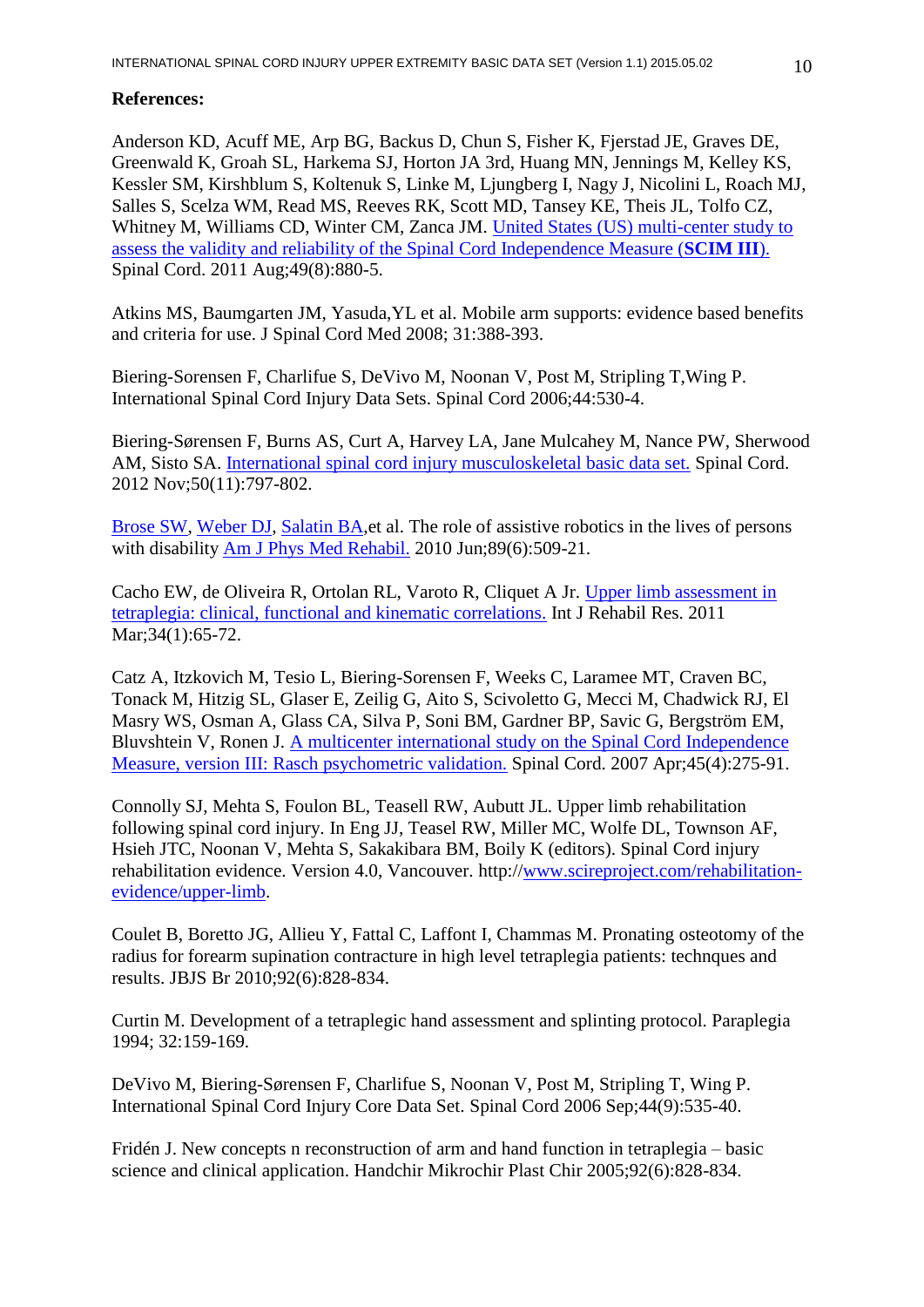# **References:**

Anderson KD, Acuff ME, Arp BG, Backus D, Chun S, Fisher K, Fjerstad JE, Graves DE, Greenwald K, Groah SL, Harkema SJ, Horton JA 3rd, Huang MN, Jennings M, Kelley KS, Kessler SM, Kirshblum S, Koltenuk S, Linke M, Ljungberg I, Nagy J, Nicolini L, Roach MJ, Salles S, Scelza WM, Read MS, Reeves RK, Scott MD, Tansey KE, Theis JL, Tolfo CZ, Whitney M, Williams CD, Winter CM, Zanca JM. [United States \(US\) multi-center study to](http://www.ncbi.nlm.nih.gov/pubmed/21445081)  [assess the validity and reliability of the Spinal Cord Independence Measure \(](http://www.ncbi.nlm.nih.gov/pubmed/21445081)**SCIM III**). Spinal Cord. 2011 Aug;49(8):880-5.

Atkins MS, Baumgarten JM, Yasuda,YL et al. Mobile arm supports: evidence based benefits and criteria for use. J Spinal Cord Med 2008; 31:388-393.

Biering-Sorensen F, Charlifue S, DeVivo M, Noonan V, Post M, Stripling T,Wing P. International Spinal Cord Injury Data Sets. Spinal Cord 2006;44:530-4.

Biering-Sørensen F, Burns AS, Curt A, Harvey LA, Jane Mulcahey M, Nance PW, Sherwood AM, Sisto SA. [International spinal cord injury musculoskeletal basic data set.](http://www.ncbi.nlm.nih.gov.ep.fjernadgang.kb.dk/pubmed/22945748) Spinal Cord. 2012 Nov;50(11):797-802.

[Brose SW,](http://www.ncbi.nlm.nih.gov/pubmed?term=Brose%20SW%5BAuthor%5D&cauthor=true&cauthor_uid=20134305) [Weber DJ,](http://www.ncbi.nlm.nih.gov/pubmed?term=Weber%20DJ%5BAuthor%5D&cauthor=true&cauthor_uid=20134305) [Salatin BA,](http://www.ncbi.nlm.nih.gov/pubmed?term=Salatin%20BA%5BAuthor%5D&cauthor=true&cauthor_uid=20134305)et al. The role of assistive robotics in the lives of persons with disability Am J Phys [Med Rehabil.](http://www.ncbi.nlm.nih.gov/pubmed/20134305##) 2010 Jun;89(6):509-21.

Cacho EW, de Oliveira R, Ortolan RL, Varoto R, Cliquet A Jr. [Upper limb assessment in](http://www.ncbi.nlm.nih.gov/pubmed/20805758)  [tetraplegia: clinical, functional and kinematic correlations.](http://www.ncbi.nlm.nih.gov/pubmed/20805758) Int J Rehabil Res. 2011 Mar; 34(1): 65-72.

Catz A, Itzkovich M, Tesio L, Biering-Sorensen F, Weeks C, Laramee MT, Craven BC, Tonack M, Hitzig SL, Glaser E, Zeilig G, Aito S, Scivoletto G, Mecci M, Chadwick RJ, El Masry WS, Osman A, Glass CA, Silva P, Soni BM, Gardner BP, Savic G, Bergström EM, Bluvshtein V, Ronen J. [A multicenter international study on the Spinal Cord Independence](http://www.ncbi.nlm.nih.gov/pubmed/16909143)  [Measure, version III: Rasch psychometric validation.](http://www.ncbi.nlm.nih.gov/pubmed/16909143) Spinal Cord. 2007 Apr;45(4):275-91.

Connolly SJ, Mehta S, Foulon BL, Teasell RW, Aubutt JL. Upper limb rehabilitation following spinal cord injury. In Eng JJ, Teasel RW, Miller MC, Wolfe DL, Townson AF, Hsieh JTC, Noonan V, Mehta S, Sakakibara BM, Boily K (editors). Spinal Cord injury rehabilitation evidence. Version 4.0, Vancouver. http:/[/www.scireproject.com/rehabilitation](http://www.scireproject.com/rehabilitation-evidence/upper-limb)[evidence/upper-limb.](http://www.scireproject.com/rehabilitation-evidence/upper-limb)

Coulet B, Boretto JG, Allieu Y, Fattal C, Laffont I, Chammas M. Pronating osteotomy of the radius for forearm supination contracture in high level tetraplegia patients: technques and results. JBJS Br 2010;92(6):828-834.

Curtin M. Development of a tetraplegic hand assessment and splinting protocol. Paraplegia 1994; 32:159-169.

DeVivo M, Biering-Sørensen F, Charlifue S, Noonan V, Post M, Stripling T, Wing P. International Spinal Cord Injury Core Data Set. Spinal Cord 2006 Sep;44(9):535-40.

Fridén J. New concepts n reconstruction of arm and hand function in tetraplegia – basic science and clinical application. Handchir Mikrochir Plast Chir 2005;92(6):828-834.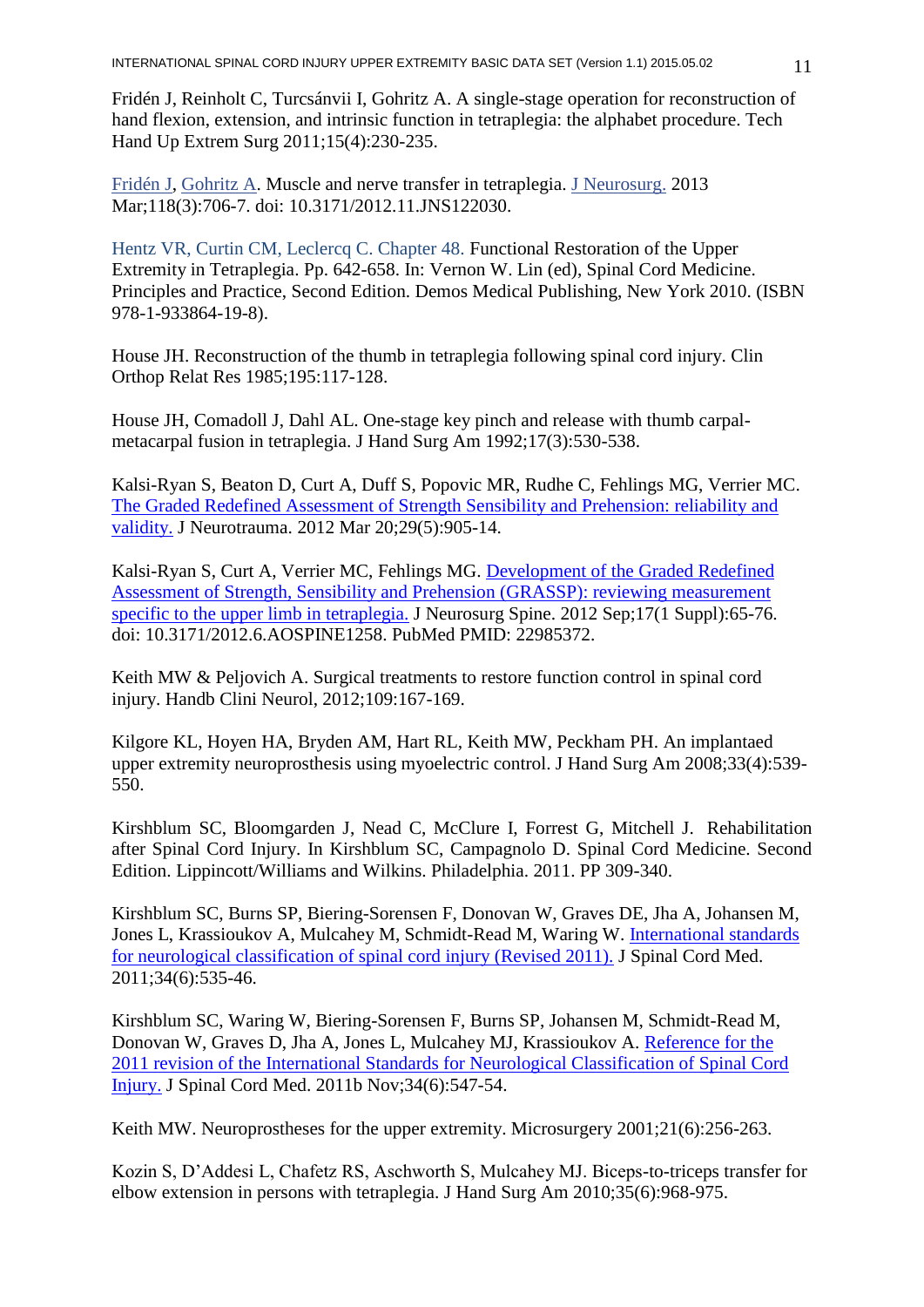Fridén J, Reinholt C, Turcsánvii I, Gohritz A. A single-stage operation for reconstruction of hand flexion, extension, and intrinsic function in tetraplegia: the alphabet procedure. Tech Hand Up Extrem Surg 2011;15(4):230-235.

[Fridén J,](http://www.ncbi.nlm.nih.gov/pubmed?term=Frid%C3%A9n%20J%5BAuthor%5D&cauthor=true&cauthor_uid=23350779) [Gohritz A.](http://www.ncbi.nlm.nih.gov/pubmed?term=Gohritz%20A%5BAuthor%5D&cauthor=true&cauthor_uid=23350779) Muscle and nerve transfer in tetraplegia. [J Neurosurg.](http://www.ncbi.nlm.nih.gov/pubmed/?term=Jan+Friden+and+Andreas+Gohritz%3A+Muscle+and+nerve+transfer+in+tetraplegia.+J+Neurosurg.+2013+Mar%3B118(3)%3A706-7.) 2013 Mar;118(3):706-7. doi: 10.3171/2012.11.JNS122030.

Hentz VR, Curtin CM, Leclercq C. Chapter 48. Functional Restoration of the Upper Extremity in Tetraplegia. Pp. 642-658. In: Vernon W. Lin (ed), Spinal Cord Medicine. Principles and Practice, Second Edition. Demos Medical Publishing, New York 2010. (ISBN 978-1-933864-19-8).

House JH. Reconstruction of the thumb in tetraplegia following spinal cord injury. Clin Orthop Relat Res 1985;195:117-128.

House JH, Comadoll J, Dahl AL. One-stage key pinch and release with thumb carpalmetacarpal fusion in tetraplegia. J Hand Surg Am 1992;17(3):530-538.

Kalsi-Ryan S, Beaton D, Curt A, Duff S, Popovic MR, Rudhe C, Fehlings MG, Verrier MC. [The Graded Redefined Assessment of Strength Sensibility and Prehension: reliability and](http://www.ncbi.nlm.nih.gov/pubmed/21568688)  [validity.](http://www.ncbi.nlm.nih.gov/pubmed/21568688) J Neurotrauma. 2012 Mar 20;29(5):905-14.

Kalsi-Ryan S, Curt A, Verrier MC, Fehlings MG. [Development of the Graded Redefined](http://www.ncbi.nlm.nih.gov/pubmed/22985372)  [Assessment of Strength, Sensibility and Prehension \(GRASSP\): reviewing measurement](http://www.ncbi.nlm.nih.gov/pubmed/22985372)  [specific to the upper limb in tetraplegia.](http://www.ncbi.nlm.nih.gov/pubmed/22985372) J Neurosurg Spine. 2012 Sep;17(1 Suppl):65-76. doi: 10.3171/2012.6.AOSPINE1258. PubMed PMID: 22985372.

Keith MW & Peljovich A. Surgical treatments to restore function control in spinal cord injury. Handb Clini Neurol, 2012;109:167-169.

Kilgore KL, Hoyen HA, Bryden AM, Hart RL, Keith MW, Peckham PH. An implantaed upper extremity neuroprosthesis using myoelectric control. J Hand Surg Am 2008;33(4):539- 550.

Kirshblum SC, Bloomgarden J, Nead C, McClure I, Forrest G, Mitchell J. Rehabilitation after Spinal Cord Injury. In Kirshblum SC, Campagnolo D. Spinal Cord Medicine. Second Edition. Lippincott/Williams and Wilkins. Philadelphia. 2011. PP 309-340.

Kirshblum SC, Burns SP, Biering-Sorensen F, Donovan W, Graves DE, Jha A, Johansen M, Jones L, Krassioukov A, Mulcahey M, Schmidt-Read M, Waring W. [International standards](http://www.ncbi.nlm.nih.gov.ep.fjernadgang.kb.dk/pubmed/22330108)  [for neurological classification of spinal cord injury \(Revised 2011\).](http://www.ncbi.nlm.nih.gov.ep.fjernadgang.kb.dk/pubmed/22330108) J Spinal Cord Med. 2011;34(6):535-46.

Kirshblum SC, Waring W, Biering-Sorensen F, Burns SP, Johansen M, Schmidt-Read M, Donovan W, Graves D, Jha A, Jones L, Mulcahey MJ, Krassioukov A. [Reference for the](http://www.ncbi.nlm.nih.gov/pubmed/22330109)  [2011 revision of the International Standards for Neurological Classification of Spinal Cord](http://www.ncbi.nlm.nih.gov/pubmed/22330109)  [Injury.](http://www.ncbi.nlm.nih.gov/pubmed/22330109) J Spinal Cord Med. 2011b Nov;34(6):547-54.

Keith MW. Neuroprostheses for the upper extremity. Microsurgery 2001;21(6):256-263.

Kozin S, D'Addesi L, Chafetz RS, Aschworth S, Mulcahey MJ. Biceps-to-triceps transfer for elbow extension in persons with tetraplegia. J Hand Surg Am 2010;35(6):968-975.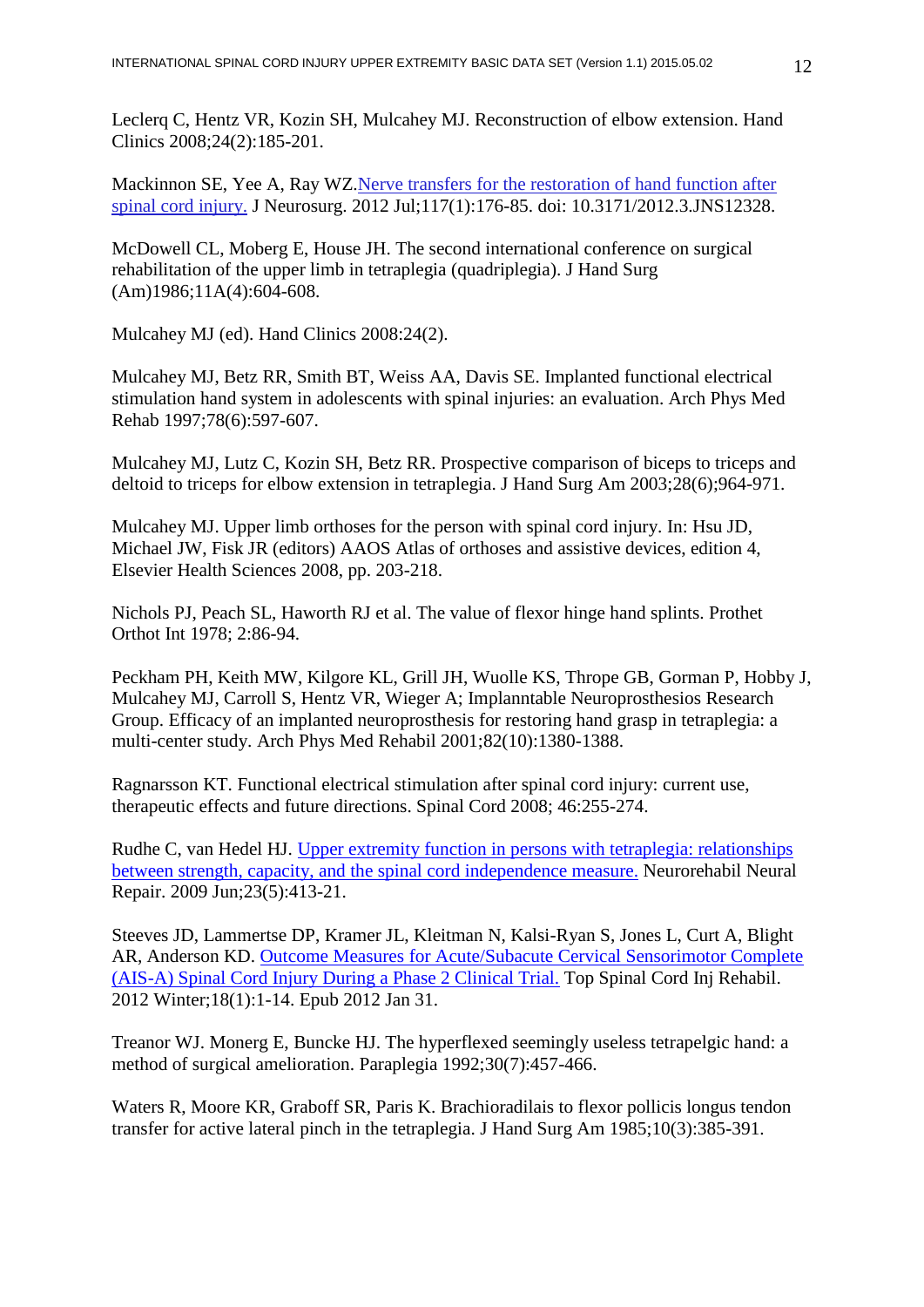Leclerq C, Hentz VR, Kozin SH, Mulcahey MJ. Reconstruction of elbow extension. Hand Clinics 2008;24(2):185-201.

Mackinnon SE, Yee A, Ray WZ[.Nerve transfers for the restoration of hand function after](http://www.ncbi.nlm.nih.gov/pubmed/22587551)  [spinal cord injury.](http://www.ncbi.nlm.nih.gov/pubmed/22587551) J Neurosurg. 2012 Jul;117(1):176-85. doi: 10.3171/2012.3.JNS12328.

McDowell CL, Moberg E, House JH. The second international conference on surgical rehabilitation of the upper limb in tetraplegia (quadriplegia). J Hand Surg (Am)1986;11A(4):604-608.

Mulcahey MJ (ed). Hand Clinics 2008:24(2).

Mulcahey MJ, Betz RR, Smith BT, Weiss AA, Davis SE. Implanted functional electrical stimulation hand system in adolescents with spinal injuries: an evaluation. Arch Phys Med Rehab 1997;78(6):597-607.

Mulcahey MJ, Lutz C, Kozin SH, Betz RR. Prospective comparison of biceps to triceps and deltoid to triceps for elbow extension in tetraplegia. J Hand Surg Am 2003;28(6);964-971.

Mulcahey MJ. Upper limb orthoses for the person with spinal cord injury. In: Hsu JD, Michael JW, Fisk JR (editors) AAOS Atlas of orthoses and assistive devices, edition 4, Elsevier Health Sciences 2008, pp. 203-218.

Nichols PJ, Peach SL, Haworth RJ et al. The value of flexor hinge hand splints. Prothet Orthot Int 1978; 2:86-94.

Peckham PH, Keith MW, Kilgore KL, Grill JH, Wuolle KS, Thrope GB, Gorman P, Hobby J, Mulcahey MJ, Carroll S, Hentz VR, Wieger A; Implanntable Neuroprosthesios Research Group. Efficacy of an implanted neuroprosthesis for restoring hand grasp in tetraplegia: a multi-center study. Arch Phys Med Rehabil 2001;82(10):1380-1388.

Ragnarsson KT. Functional electrical stimulation after spinal cord injury: current use, therapeutic effects and future directions. Spinal Cord 2008; 46:255-274.

Rudhe C, van Hedel HJ. Upper extremity function [in persons with tetraplegia: relationships](http://www.ncbi.nlm.nih.gov/pubmed/19261766)  [between strength, capacity, and the spinal cord independence measure.](http://www.ncbi.nlm.nih.gov/pubmed/19261766) Neurorehabil Neural Repair. 2009 Jun;23(5):413-21.

Steeves JD, Lammertse DP, Kramer JL, Kleitman N, Kalsi-Ryan S, Jones L, Curt A, Blight AR, Anderson KD. [Outcome Measures for Acute/Subacute Cervical Sensorimotor Complete](http://www.ncbi.nlm.nih.gov/pubmed/23239927)  [\(AIS-A\) Spinal Cord Injury During a Phase 2 Clinical Trial.](http://www.ncbi.nlm.nih.gov/pubmed/23239927) Top Spinal Cord Inj Rehabil. 2012 Winter;18(1):1-14. Epub 2012 Jan 31.

Treanor WJ. Monerg E, Buncke HJ. The hyperflexed seemingly useless tetrapelgic hand: a method of surgical amelioration. Paraplegia 1992;30(7):457-466.

Waters R, Moore KR, Graboff SR, Paris K. Brachioradilais to flexor pollicis longus tendon transfer for active lateral pinch in the tetraplegia. J Hand Surg Am 1985;10(3):385-391.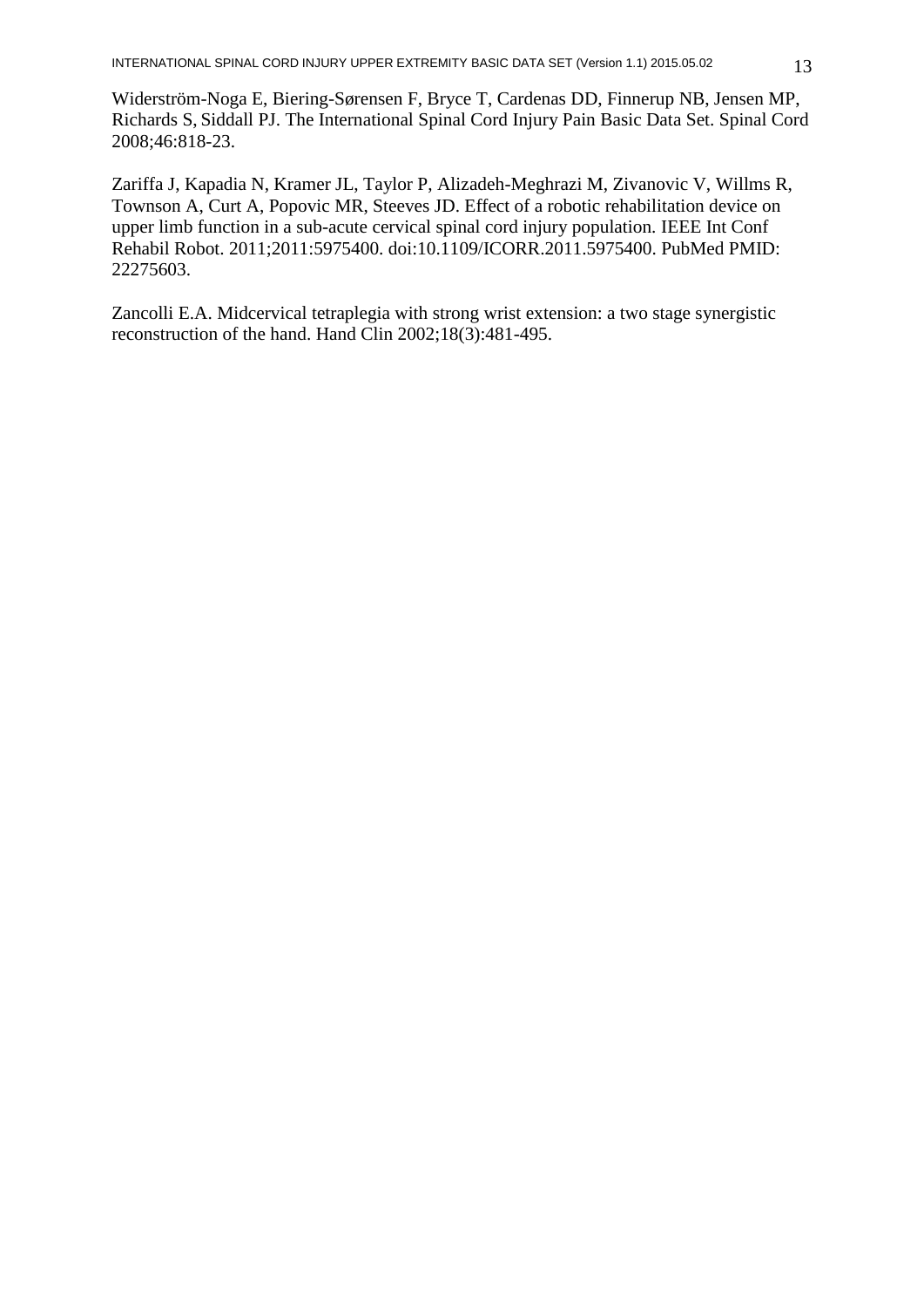Widerström-Noga E, Biering-Sørensen F, Bryce T, Cardenas DD, Finnerup NB, Jensen MP, Richards S, Siddall PJ. The International Spinal Cord Injury Pain Basic Data Set. Spinal Cord 2008;46:818-23.

Zariffa J, Kapadia N, Kramer JL, Taylor P, Alizadeh-Meghrazi M, Zivanovic V, Willms R, Townson A, Curt A, Popovic MR, Steeves JD. Effect of a robotic rehabilitation device on upper limb function in a sub-acute cervical spinal cord injury population. IEEE Int Conf Rehabil Robot. 2011;2011:5975400. doi:10.1109/ICORR.2011.5975400. PubMed PMID: 22275603.

Zancolli E.A. Midcervical tetraplegia with strong wrist extension: a two stage synergistic reconstruction of the hand. Hand Clin 2002;18(3):481-495.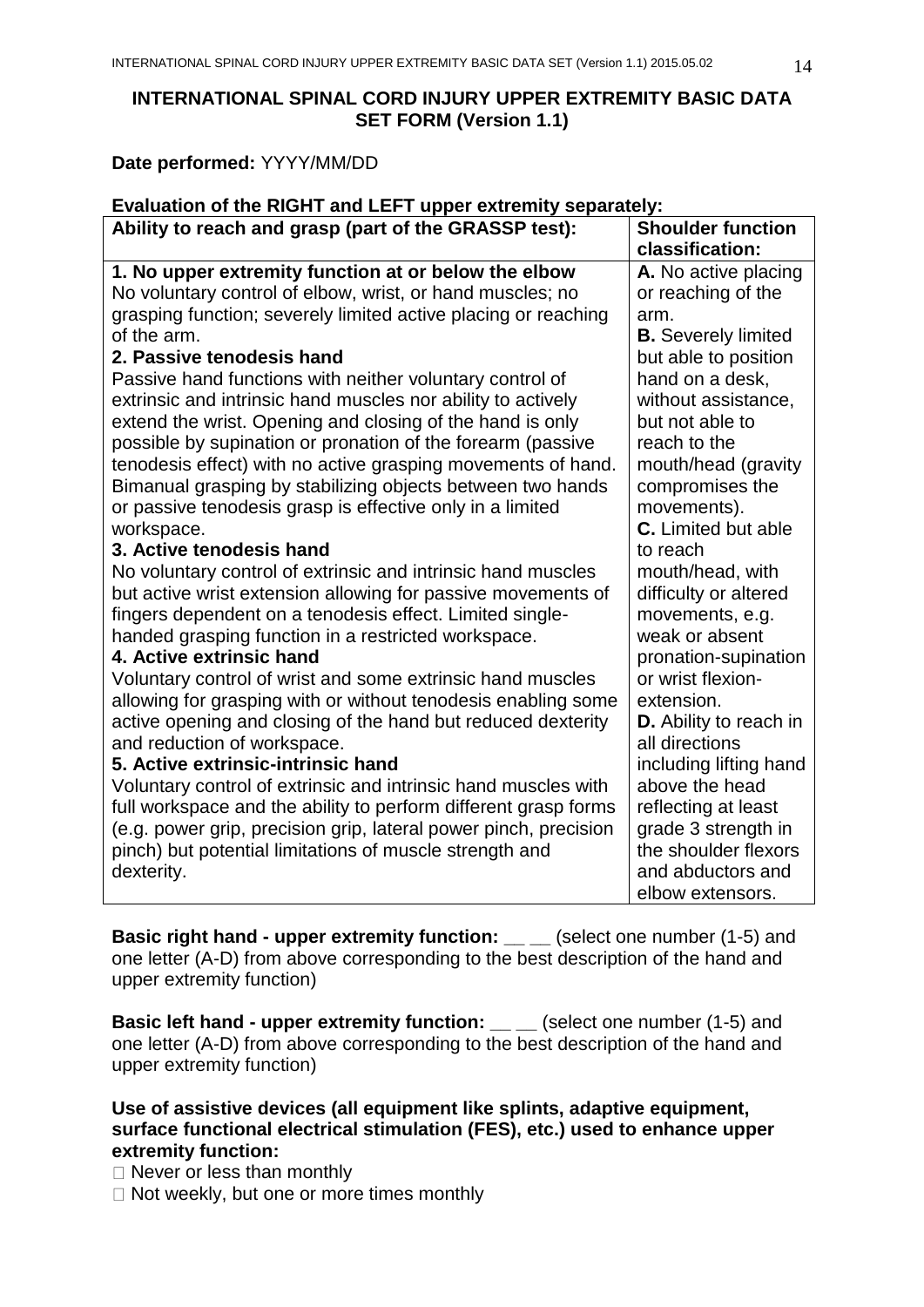# **INTERNATIONAL SPINAL CORD INJURY UPPER EXTREMITY BASIC DATA SET FORM (Version 1.1)**

**Date performed:** YYYY/MM/DD

| Evaluation of the RIGHT and LEFT upper extremity separately:                                                                |                                           |  |  |  |
|-----------------------------------------------------------------------------------------------------------------------------|-------------------------------------------|--|--|--|
| Ability to reach and grasp (part of the GRASSP test):                                                                       | <b>Shoulder function</b>                  |  |  |  |
|                                                                                                                             | classification:                           |  |  |  |
| 1. No upper extremity function at or below the elbow                                                                        | A. No active placing                      |  |  |  |
| No voluntary control of elbow, wrist, or hand muscles; no                                                                   | or reaching of the                        |  |  |  |
| grasping function; severely limited active placing or reaching                                                              | arm.                                      |  |  |  |
| of the arm.                                                                                                                 | <b>B.</b> Severely limited                |  |  |  |
| 2. Passive tenodesis hand                                                                                                   | but able to position                      |  |  |  |
| Passive hand functions with neither voluntary control of                                                                    | hand on a desk,                           |  |  |  |
| extrinsic and intrinsic hand muscles nor ability to actively                                                                | without assistance,                       |  |  |  |
| extend the wrist. Opening and closing of the hand is only                                                                   | but not able to                           |  |  |  |
| possible by supination or pronation of the forearm (passive                                                                 | reach to the                              |  |  |  |
| tenodesis effect) with no active grasping movements of hand.                                                                | mouth/head (gravity                       |  |  |  |
| Bimanual grasping by stabilizing objects between two hands                                                                  | compromises the                           |  |  |  |
| or passive tenodesis grasp is effective only in a limited                                                                   | movements).                               |  |  |  |
| workspace.                                                                                                                  | <b>C.</b> Limited but able                |  |  |  |
| 3. Active tenodesis hand                                                                                                    | to reach                                  |  |  |  |
| No voluntary control of extrinsic and intrinsic hand muscles                                                                | mouth/head, with                          |  |  |  |
| but active wrist extension allowing for passive movements of                                                                | difficulty or altered                     |  |  |  |
| fingers dependent on a tenodesis effect. Limited single-                                                                    | movements, e.g.                           |  |  |  |
| handed grasping function in a restricted workspace.<br>4. Active extrinsic hand                                             | weak or absent                            |  |  |  |
|                                                                                                                             | pronation-supination<br>or wrist flexion- |  |  |  |
| Voluntary control of wrist and some extrinsic hand muscles<br>allowing for grasping with or without tenodesis enabling some | extension.                                |  |  |  |
| active opening and closing of the hand but reduced dexterity                                                                | D. Ability to reach in                    |  |  |  |
| and reduction of workspace.                                                                                                 | all directions                            |  |  |  |
| 5. Active extrinsic-intrinsic hand                                                                                          | including lifting hand                    |  |  |  |
| Voluntary control of extrinsic and intrinsic hand muscles with                                                              | above the head                            |  |  |  |
| full workspace and the ability to perform different grasp forms                                                             | reflecting at least                       |  |  |  |
| (e.g. power grip, precision grip, lateral power pinch, precision                                                            | grade 3 strength in                       |  |  |  |
| pinch) but potential limitations of muscle strength and                                                                     | the shoulder flexors                      |  |  |  |
| dexterity.                                                                                                                  | and abductors and                         |  |  |  |
|                                                                                                                             | elbow extensors.                          |  |  |  |
|                                                                                                                             |                                           |  |  |  |

**Basic right hand - upper extremity function: \_\_ \_\_ (select one number (1-5) and** one letter (A-D) from above corresponding to the best description of the hand and upper extremity function)

**Basic left hand - upper extremity function: \_\_ \_\_** (select one number (1-5) and one letter (A-D) from above corresponding to the best description of the hand and upper extremity function)

**Use of assistive devices (all equipment like splints, adaptive equipment, surface functional electrical stimulation (FES), etc.) used to enhance upper extremity function:**

 $\Box$  Never or less than monthly

 $\Box$  Not weekly, but one or more times monthly